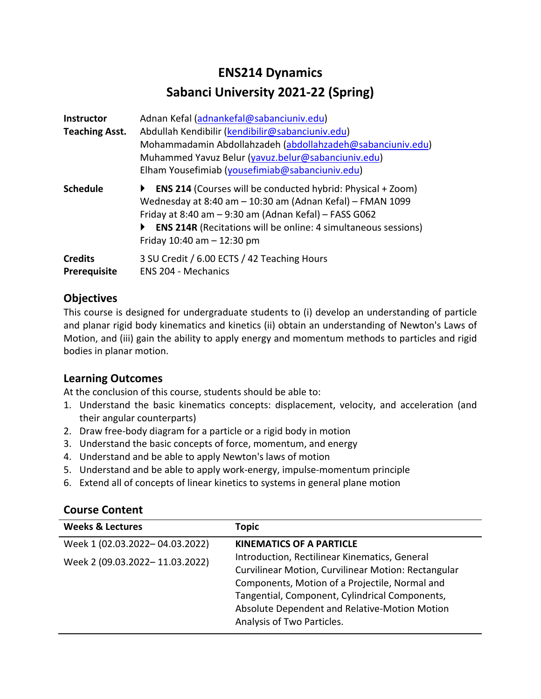# **ENS214 Dynamics Sabanci University 2021-22 (Spring)**

| <b>Instructor</b><br><b>Teaching Asst.</b> | Adnan Kefal (adnankefal@sabanciuniv.edu)<br>Abdullah Kendibilir (kendibilir@sabanciuniv.edu)<br>Mohammadamin Abdollahzadeh (abdollahzadeh@sabanciuniv.edu)<br>Muhammed Yavuz Belur (yavuz.belur@sabanciuniv.edu)<br>Elham Yousefimiab (yousefimiab@sabanciuniv.edu)                                     |
|--------------------------------------------|---------------------------------------------------------------------------------------------------------------------------------------------------------------------------------------------------------------------------------------------------------------------------------------------------------|
| <b>Schedule</b>                            | <b>ENS 214 (Courses will be conducted hybrid: Physical + Zoom)</b><br>Wednesday at 8:40 am - 10:30 am (Adnan Kefal) - FMAN 1099<br>Friday at 8:40 am $-$ 9:30 am (Adnan Kefal) $-$ FASS G062<br><b>ENS 214R</b> (Recitations will be online: 4 simultaneous sessions)<br>Friday $10:40$ am $- 12:30$ pm |
| <b>Credits</b><br>Prerequisite             | 3 SU Credit / 6.00 ECTS / 42 Teaching Hours<br><b>ENS 204 - Mechanics</b>                                                                                                                                                                                                                               |

# **Objectives**

This course is designed for undergraduate students to (i) develop an understanding of particle and planar rigid body kinematics and kinetics (ii) obtain an understanding of Newton's Laws of Motion, and (iii) gain the ability to apply energy and momentum methods to particles and rigid bodies in planar motion.

## **Learning Outcomes**

At the conclusion of this course, students should be able to:

- 1. Understand the basic kinematics concepts: displacement, velocity, and acceleration (and their angular counterparts)
- 2. Draw free-body diagram for a particle or a rigid body in motion
- 3. Understand the basic concepts of force, momentum, and energy
- 4. Understand and be able to apply Newton's laws of motion
- 5. Understand and be able to apply work-energy, impulse-momentum principle
- 6. Extend all of concepts of linear kinetics to systems in general plane motion

| <b>Weeks &amp; Lectures</b>    | <b>Topic</b>                                        |
|--------------------------------|-----------------------------------------------------|
| Week 1 (02.03.2022-04.03.2022) | KINEMATICS OF A PARTICLE                            |
| Week 2 (09.03.2022-11.03.2022) | Introduction, Rectilinear Kinematics, General       |
|                                | Curvilinear Motion, Curvilinear Motion: Rectangular |
|                                | Components, Motion of a Projectile, Normal and      |
|                                | Tangential, Component, Cylindrical Components,      |
|                                | Absolute Dependent and Relative-Motion Motion       |
|                                | Analysis of Two Particles.                          |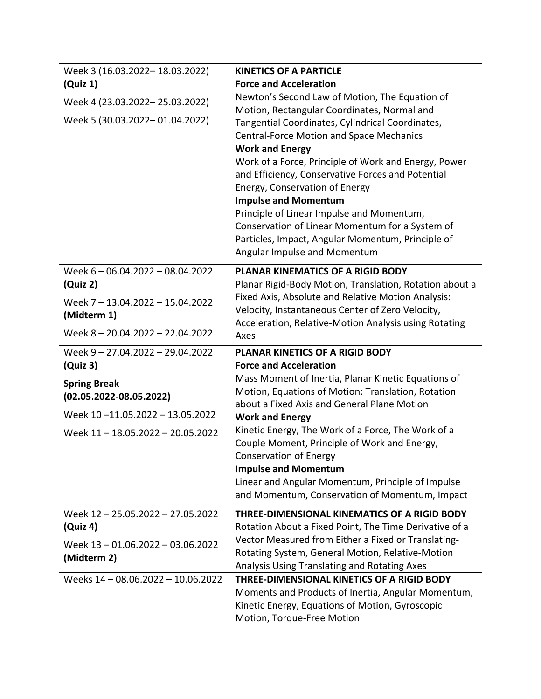| Week 3 (16.03.2022-18.03.2022)<br>(Quiz 1)<br>Week 4 (23.03.2022-25.03.2022)<br>Week 5 (30.03.2022-01.04.2022)                                | <b>KINETICS OF A PARTICLE</b><br><b>Force and Acceleration</b><br>Newton's Second Law of Motion, The Equation of<br>Motion, Rectangular Coordinates, Normal and<br>Tangential Coordinates, Cylindrical Coordinates,<br><b>Central-Force Motion and Space Mechanics</b><br><b>Work and Energy</b><br>Work of a Force, Principle of Work and Energy, Power<br>and Efficiency, Conservative Forces and Potential<br>Energy, Conservation of Energy<br><b>Impulse and Momentum</b><br>Principle of Linear Impulse and Momentum,<br>Conservation of Linear Momentum for a System of<br>Particles, Impact, Angular Momentum, Principle of<br>Angular Impulse and Momentum |
|-----------------------------------------------------------------------------------------------------------------------------------------------|---------------------------------------------------------------------------------------------------------------------------------------------------------------------------------------------------------------------------------------------------------------------------------------------------------------------------------------------------------------------------------------------------------------------------------------------------------------------------------------------------------------------------------------------------------------------------------------------------------------------------------------------------------------------|
| Week 6-06.04.2022-08.04.2022<br>(Quiz 2)<br>Week 7 - 13.04.2022 - 15.04.2022<br>(Midterm 1)                                                   | PLANAR KINEMATICS OF A RIGID BODY<br>Planar Rigid-Body Motion, Translation, Rotation about a<br>Fixed Axis, Absolute and Relative Motion Analysis:<br>Velocity, Instantaneous Center of Zero Velocity,                                                                                                                                                                                                                                                                                                                                                                                                                                                              |
| Week 8-20.04.2022-22.04.2022                                                                                                                  | Acceleration, Relative-Motion Analysis using Rotating<br>Axes                                                                                                                                                                                                                                                                                                                                                                                                                                                                                                                                                                                                       |
| Week 9-27.04.2022-29.04.2022<br>(Quiz <sub>3</sub> )<br><b>Spring Break</b><br>$(02.05.2022 - 08.05.2022)$<br>Week 10-11.05.2022 - 13.05.2022 | PLANAR KINETICS OF A RIGID BODY<br><b>Force and Acceleration</b><br>Mass Moment of Inertia, Planar Kinetic Equations of<br>Motion, Equations of Motion: Translation, Rotation<br>about a Fixed Axis and General Plane Motion<br><b>Work and Energy</b>                                                                                                                                                                                                                                                                                                                                                                                                              |
|                                                                                                                                               | Kinetic Energy, The Work of a Force, The Work of a<br>Couple Moment, Principle of Work and Energy,<br><b>Conservation of Energy</b><br><b>Impulse and Momentum</b>                                                                                                                                                                                                                                                                                                                                                                                                                                                                                                  |
| Week 11 - 18.05.2022 - 20.05.2022                                                                                                             | Linear and Angular Momentum, Principle of Impulse<br>and Momentum, Conservation of Momentum, Impact                                                                                                                                                                                                                                                                                                                                                                                                                                                                                                                                                                 |
| Week 12 - 25.05.2022 - 27.05.2022<br>(Quiz 4)<br>Week 13-01.06.2022-03.06.2022<br>(Midterm 2)<br>Weeks 14 - 08.06.2022 - 10.06.2022           | THREE-DIMENSIONAL KINEMATICS OF A RIGID BODY<br>Rotation About a Fixed Point, The Time Derivative of a<br>Vector Measured from Either a Fixed or Translating-<br>Rotating System, General Motion, Relative-Motion<br>Analysis Using Translating and Rotating Axes<br>THREE-DIMENSIONAL KINETICS OF A RIGID BODY                                                                                                                                                                                                                                                                                                                                                     |